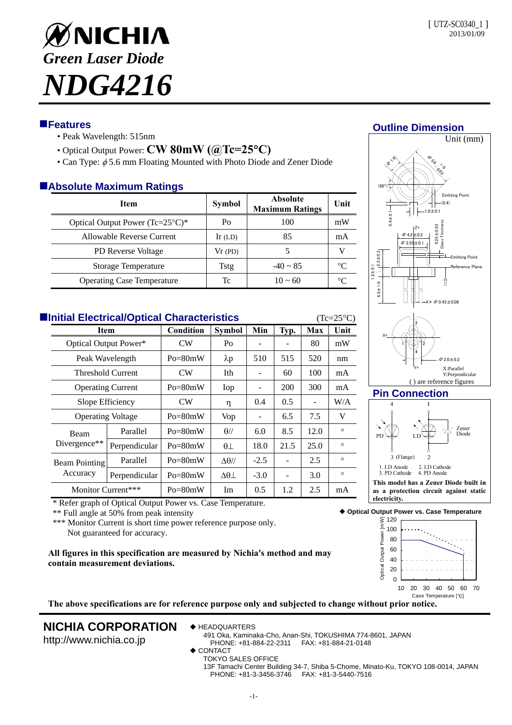

## **Features**

- Peak Wavelength: 515nm
- Optical Output Power: **CW 80mW (@Tc=25C)**
- Can Type:  $\phi$  5.6 mm Floating Mounted with Photo Diode and Zener Diode

## **Absolute Maximum Ratings**

| <b>Item</b>                                 | <b>Symbol</b> | <b>Absolute</b><br><b>Maximum Ratings</b> | Unit        |
|---------------------------------------------|---------------|-------------------------------------------|-------------|
| Optical Output Power $(Tc=25^{\circ}C)^{*}$ | Po            | 100                                       | mW          |
| Allowable Reverse Current                   | $Ir$ (LD)     | 85                                        | mA          |
| <b>PD</b> Reverse Voltage                   | Vr(PD)        |                                           |             |
| Storage Temperature                         | Tstg          | $-40 \sim 85$                             | $^{\circ}C$ |
| <b>Operating Case Temperature</b>           | Тc            | $10 \approx 60$                           | °∩          |

| <b>Elnitial Electrical/Optical Characteristics</b><br>$(Tc=25\degree C)$ |                                                         |               |                |                   |        |      |            |         |  |  |  |
|--------------------------------------------------------------------------|---------------------------------------------------------|---------------|----------------|-------------------|--------|------|------------|---------|--|--|--|
|                                                                          | <b>Item</b><br>Optical Output Power*<br>Peak Wavelength |               | Condition      | <b>Symbol</b>     | Min    | Typ. | <b>Max</b> | Unit    |  |  |  |
|                                                                          |                                                         |               | CW <sub></sub> | Po                |        |      | 80         | mW      |  |  |  |
|                                                                          |                                                         |               | $Po = 80mW$    | $\lambda p$       | 510    | 515  | 520        | nm      |  |  |  |
|                                                                          | <b>Threshold Current</b>                                |               | CW <sub></sub> | Ith               |        | 60   | 100        | mA      |  |  |  |
|                                                                          | <b>Operating Current</b>                                |               | $Po = 80mW$    | Iop               |        | 200  | 300        | mA      |  |  |  |
|                                                                          | Slope Efficiency                                        |               | <b>CW</b>      | η                 | 0.4    | 0.5  |            | W/A     |  |  |  |
|                                                                          | <b>Operating Voltage</b>                                |               | $Po = 80mW$    | Vop               |        | 6.5  | 7.5        | V       |  |  |  |
|                                                                          | <b>Beam</b><br>Divergence <sup>**</sup>                 | Parallel      | $Po = 80mW$    | $\theta$ //       | 6.0    | 8.5  | 12.0       | $\circ$ |  |  |  |
|                                                                          |                                                         | Perpendicular | $Po = 80mW$    | $\theta$ $\perp$  | 18.0   | 21.5 | 25.0       | $\circ$ |  |  |  |
|                                                                          | Beam Pointing<br>Accuracy                               | Parallel      | $Po = 80mW$    | $\Delta\theta$ // | $-2.5$ |      | 2.5        | $\circ$ |  |  |  |
|                                                                          |                                                         | Perpendicular | $Po = 80mW$    | $\Delta\theta$    | $-3.0$ | ۰    | 3.0        | $\circ$ |  |  |  |
|                                                                          | Monitor Current***                                      |               | $Po = 80mW$    | Im                | 0.5    | 1.2  | 2.5        | mA      |  |  |  |

\* Refer graph of Optical Output Power vs. Case Temperature.

\*\* Full angle at 50% from peak intensity

\*\*\* Monitor Current is short time power reference purpose only. Not guaranteed for accuracy.

**All figures in this specification are measured by Nichia's method and may contain measurement deviations.** 

# **Outline Dimension**





**as a protection circuit against static electricity.**

**Optical Output Power vs. Case Temperature**



**The above specifications are for reference purpose only and subjected to change without prior notice.**

# **NICHIA CORPORATION**

◆ HEADQUARTERS

http://www.nichia.co.jp

491 Oka, Kaminaka-Cho, Anan-Shi, TOKUSHIMA 774-8601, JAPAN PHONE: +81-884-22-2311 FAX: +81-884-21-0148

- ◆ CONTACT
	- TOKYO SALES OFFICE

13F Tamachi Center Building 34-7, Shiba 5-Chome, Minato-Ku, TOKYO 108-0014, JAPAN PHONE: +81-3-3456-3746 FAX: +81-3-5440-7516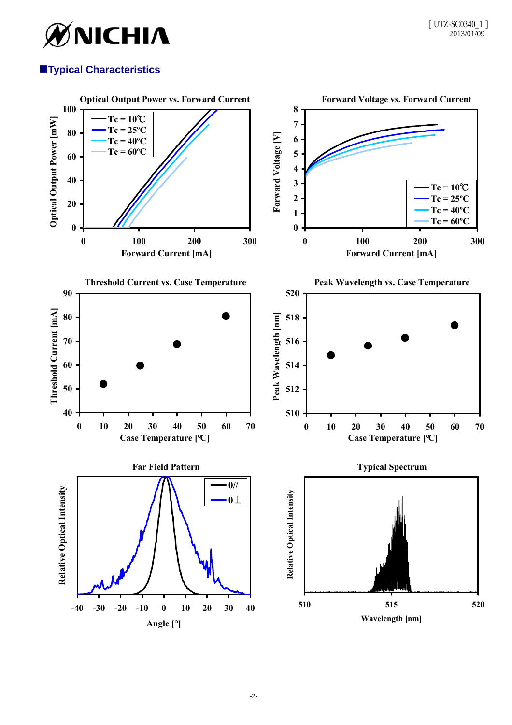

# **Typical Characteristics**